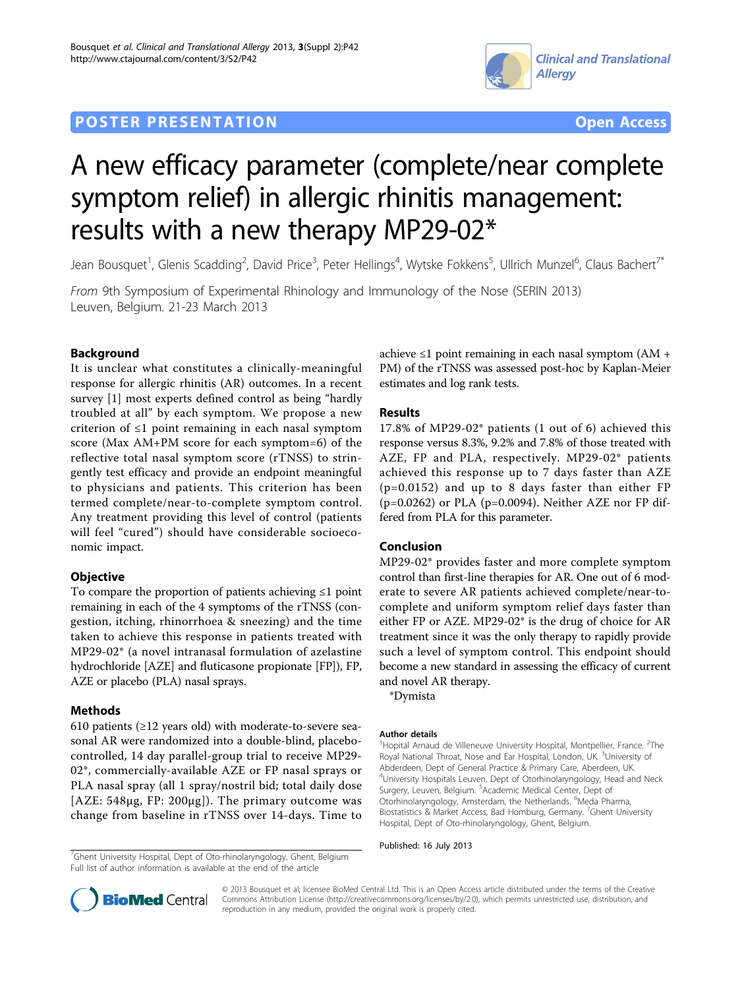## **POSTER PRESENTATION CONSUMING THE SERVICE SERVICE SERVICES COPEN ACCESS**





# A new efficacy parameter (complete/near complete symptom relief) in allergic rhinitis management: results with a new therapy MP29-02\*

Jean Bousquet<sup>1</sup>, Glenis Scadding<sup>2</sup>, David Price<sup>3</sup>, Peter Hellings<sup>4</sup>, Wytske Fokkens<sup>5</sup>, Ullrich Munzel<sup>6</sup>, Claus Bachert<sup>7\*</sup>

From 9th Symposium of Experimental Rhinology and Immunology of the Nose (SERIN 2013) Leuven, Belgium. 21-23 March 2013

### Background

It is unclear what constitutes a clinically-meaningful response for allergic rhinitis (AR) outcomes. In a recent survey [\[1](#page-1-0)] most experts defined control as being "hardly troubled at all" by each symptom. We propose a new criterion of ≤1 point remaining in each nasal symptom score (Max AM+PM score for each symptom=6) of the reflective total nasal symptom score (rTNSS) to stringently test efficacy and provide an endpoint meaningful to physicians and patients. This criterion has been termed complete/near-to-complete symptom control. Any treatment providing this level of control (patients will feel "cured") should have considerable socioeconomic impact.

#### **Objective**

To compare the proportion of patients achieving ≤1 point remaining in each of the 4 symptoms of the rTNSS (congestion, itching, rhinorrhoea & sneezing) and the time taken to achieve this response in patients treated with MP29-02\* (a novel intranasal formulation of azelastine hydrochloride [AZE] and fluticasone propionate [FP]), FP, AZE or placebo (PLA) nasal sprays.

#### Methods

610 patients  $(\geq 12$  years old) with moderate-to-severe seasonal AR were randomized into a double-blind, placebocontrolled, 14 day parallel-group trial to receive MP29- 02\*, commercially-available AZE or FP nasal sprays or PLA nasal spray (all 1 spray/nostril bid; total daily dose [AZE: 548µg, FP: 200µg]). The primary outcome was change from baseline in rTNSS over 14-days. Time to achieve ≤1 point remaining in each nasal symptom  $(AM +$ PM) of the rTNSS was assessed post-hoc by Kaplan-Meier estimates and log rank tests.

### Results

17.8% of MP29-02\* patients (1 out of 6) achieved this response versus 8.3%, 9.2% and 7.8% of those treated with AZE, FP and PLA, respectively. MP29-02\* patients achieved this response up to 7 days faster than AZE (p=0.0152) and up to 8 days faster than either FP (p=0.0262) or PLA (p=0.0094). Neither AZE nor FP differed from PLA for this parameter.

#### Conclusion

MP29-02\* provides faster and more complete symptom control than first-line therapies for AR. One out of 6 moderate to severe AR patients achieved complete/near-tocomplete and uniform symptom relief days faster than either FP or AZE. MP29-02\* is the drug of choice for AR treatment since it was the only therapy to rapidly provide such a level of symptom control. This endpoint should become a new standard in assessing the efficacy of current and novel AR therapy.

\*Dymista

#### Author details

<sup>1</sup>Hopital Arnaud de Villeneuve University Hospital, Montpellier, France. <sup>2</sup>The Royal National Throat, Nose and Ear Hospital, London, UK. <sup>3</sup>University of Abderdeen, Dept of General Practice & Primary Care, Aberdeen, UK. 4 University Hospitals Leuven, Dept of Otorhinolaryngology, Head and Neck Surgery, Leuven, Belgium. <sup>5</sup>Academic Medical Center, Dept of Otorhinolaryngology, Amsterdam, the Netherlands. <sup>6</sup>Meda Pharma, Biostatistics & Market Access, Bad Homburg, Germany. <sup>7</sup>Ghent University Hospital, Dept of Oto-rhinolaryngology, Ghent, Belgium.

<sup>7</sup>Ghent University Hospital, Dept of Oto-rhinolaryngology, Ghent, Belgium **Published: 16 July 2013** Full list of author information is available at the end of the article





© 2013 Bousquet et al; licensee BioMed Central Ltd. This is an Open Access article distributed under the terms of the Creative Commons Attribution License [\(http://creativecommons.org/licenses/by/2.0](http://creativecommons.org/licenses/by/2.0)), which permits unrestricted use, distribution, and reproduction in any medium, provided the original work is properly cited.